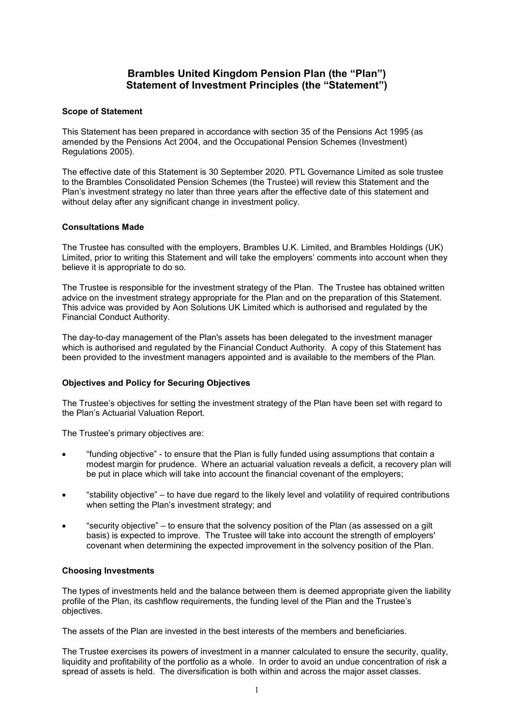# **Brambles United Kingdom Pension Plan (the "Plan") Statement of Investment Principles (the "Statement")**

## **Scope of Statement**

This Statement has been prepared in accordance with section 35 of the Pensions Act 1995 (as amended by the Pensions Act 2004, and the Occupational Pension Schemes (Investment) Regulations 2005).

The effective date of this Statement is 30 September 2020. PTL Governance Limited as sole trustee to the Brambles Consolidated Pension Schemes (the Trustee) will review this Statement and the Plan's investment strategy no later than three years after the effective date of this statement and without delay after any significant change in investment policy.

## **Consultations Made**

The Trustee has consulted with the employers, Brambles U.K. Limited, and Brambles Holdings (UK) Limited, prior to writing this Statement and will take the employers' comments into account when they believe it is appropriate to do so.

The Trustee is responsible for the investment strategy of the Plan. The Trustee has obtained written advice on the investment strategy appropriate for the Plan and on the preparation of this Statement. This advice was provided by Aon Solutions UK Limited which is authorised and regulated by the Financial Conduct Authority.

The day-to-day management of the Plan's assets has been delegated to the investment manager which is authorised and regulated by the Financial Conduct Authority. A copy of this Statement has been provided to the investment managers appointed and is available to the members of the Plan.

# **Objectives and Policy for Securing Objectives**

The Trustee's objectives for setting the investment strategy of the Plan have been set with regard to the Plan's Actuarial Valuation Report.

The Trustee's primary objectives are:

- "funding objective" to ensure that the Plan is fully funded using assumptions that contain a modest margin for prudence. Where an actuarial valuation reveals a deficit, a recovery plan will be put in place which will take into account the financial covenant of the employers;
- "stability objective" to have due regard to the likely level and volatility of required contributions when setting the Plan's investment strategy; and
- "security objective" to ensure that the solvency position of the Plan (as assessed on a gilt basis) is expected to improve. The Trustee will take into account the strength of employers' covenant when determining the expected improvement in the solvency position of the Plan.

#### **Choosing Investments**

The types of investments held and the balance between them is deemed appropriate given the liability profile of the Plan, its cashflow requirements, the funding level of the Plan and the Trustee's objectives.

The assets of the Plan are invested in the best interests of the members and beneficiaries.

The Trustee exercises its powers of investment in a manner calculated to ensure the security, quality, liquidity and profitability of the portfolio as a whole. In order to avoid an undue concentration of risk a spread of assets is held. The diversification is both within and across the major asset classes.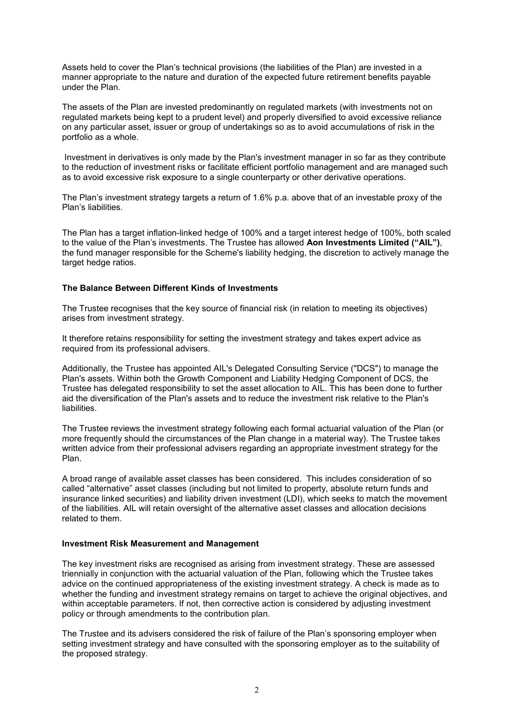Assets held to cover the Plan's technical provisions (the liabilities of the Plan) are invested in a manner appropriate to the nature and duration of the expected future retirement benefits payable under the Plan.

The assets of the Plan are invested predominantly on regulated markets (with investments not on regulated markets being kept to a prudent level) and properly diversified to avoid excessive reliance on any particular asset, issuer or group of undertakings so as to avoid accumulations of risk in the portfolio as a whole.

Investment in derivatives is only made by the Plan's investment manager in so far as they contribute to the reduction of investment risks or facilitate efficient portfolio management and are managed such as to avoid excessive risk exposure to a single counterparty or other derivative operations.

The Plan's investment strategy targets a return of 1.6% p.a. above that of an investable proxy of the Plan's liabilities.

The Plan has a target inflation-linked hedge of 100% and a target interest hedge of 100%, both scaled to the value of the Plan's investments. The Trustee has allowed **Aon Investments Limited ("AIL")**, the fund manager responsible for the Scheme's liability hedging, the discretion to actively manage the target hedge ratios.

## **The Balance Between Different Kinds of Investments**

The Trustee recognises that the key source of financial risk (in relation to meeting its objectives) arises from investment strategy.

It therefore retains responsibility for setting the investment strategy and takes expert advice as required from its professional advisers.

Additionally, the Trustee has appointed AIL's Delegated Consulting Service ("DCS") to manage the Plan's assets. Within both the Growth Component and Liability Hedging Component of DCS, the Trustee has delegated responsibility to set the asset allocation to AIL. This has been done to further aid the diversification of the Plan's assets and to reduce the investment risk relative to the Plan's liabilities.

The Trustee reviews the investment strategy following each formal actuarial valuation of the Plan (or more frequently should the circumstances of the Plan change in a material way). The Trustee takes written advice from their professional advisers regarding an appropriate investment strategy for the Plan.

A broad range of available asset classes has been considered. This includes consideration of so called "alternative" asset classes (including but not limited to property, absolute return funds and insurance linked securities) and liability driven investment (LDI), which seeks to match the movement of the liabilities. AIL will retain oversight of the alternative asset classes and allocation decisions related to them.

#### **Investment Risk Measurement and Management**

The key investment risks are recognised as arising from investment strategy. These are assessed triennially in conjunction with the actuarial valuation of the Plan, following which the Trustee takes advice on the continued appropriateness of the existing investment strategy. A check is made as to whether the funding and investment strategy remains on target to achieve the original objectives, and within acceptable parameters. If not, then corrective action is considered by adjusting investment policy or through amendments to the contribution plan.

The Trustee and its advisers considered the risk of failure of the Plan's sponsoring employer when setting investment strategy and have consulted with the sponsoring employer as to the suitability of the proposed strategy.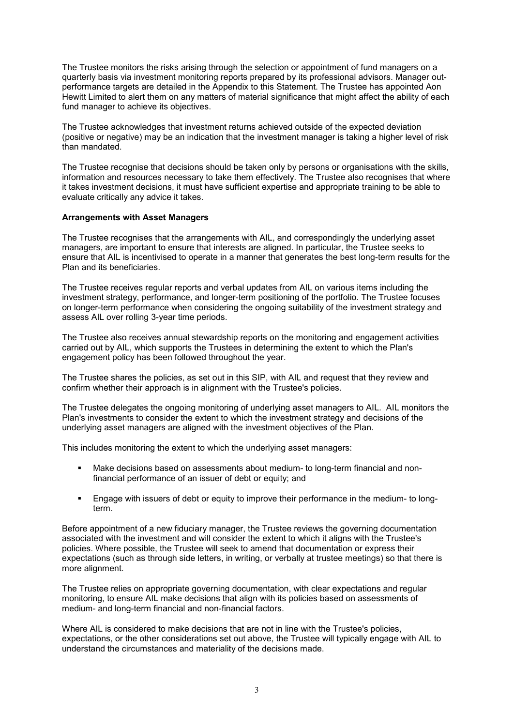The Trustee monitors the risks arising through the selection or appointment of fund managers on a quarterly basis via investment monitoring reports prepared by its professional advisors. Manager outperformance targets are detailed in the Appendix to this Statement. The Trustee has appointed Aon Hewitt Limited to alert them on any matters of material significance that might affect the ability of each fund manager to achieve its objectives.

The Trustee acknowledges that investment returns achieved outside of the expected deviation (positive or negative) may be an indication that the investment manager is taking a higher level of risk than mandated.

The Trustee recognise that decisions should be taken only by persons or organisations with the skills, information and resources necessary to take them effectively. The Trustee also recognises that where it takes investment decisions, it must have sufficient expertise and appropriate training to be able to evaluate critically any advice it takes.

#### **Arrangements with Asset Managers**

The Trustee recognises that the arrangements with AIL, and correspondingly the underlying asset managers, are important to ensure that interests are aligned. In particular, the Trustee seeks to ensure that AIL is incentivised to operate in a manner that generates the best long-term results for the Plan and its beneficiaries.

The Trustee receives regular reports and verbal updates from AIL on various items including the investment strategy, performance, and longer-term positioning of the portfolio. The Trustee focuses on longer-term performance when considering the ongoing suitability of the investment strategy and assess AIL over rolling 3-year time periods.

The Trustee also receives annual stewardship reports on the monitoring and engagement activities carried out by AIL, which supports the Trustees in determining the extent to which the Plan's engagement policy has been followed throughout the year.

The Trustee shares the policies, as set out in this SIP, with AIL and request that they review and confirm whether their approach is in alignment with the Trustee's policies.

The Trustee delegates the ongoing monitoring of underlying asset managers to AIL. AIL monitors the Plan's investments to consider the extent to which the investment strategy and decisions of the underlying asset managers are aligned with the investment objectives of the Plan.

This includes monitoring the extent to which the underlying asset managers:

- Make decisions based on assessments about medium- to long-term financial and nonfinancial performance of an issuer of debt or equity; and
- Engage with issuers of debt or equity to improve their performance in the medium- to longterm.

Before appointment of a new fiduciary manager, the Trustee reviews the governing documentation associated with the investment and will consider the extent to which it aligns with the Trustee's policies. Where possible, the Trustee will seek to amend that documentation or express their expectations (such as through side letters, in writing, or verbally at trustee meetings) so that there is more alignment.

The Trustee relies on appropriate governing documentation, with clear expectations and regular monitoring, to ensure AIL make decisions that align with its policies based on assessments of medium- and long-term financial and non-financial factors.

Where AIL is considered to make decisions that are not in line with the Trustee's policies, expectations, or the other considerations set out above, the Trustee will typically engage with AIL to understand the circumstances and materiality of the decisions made.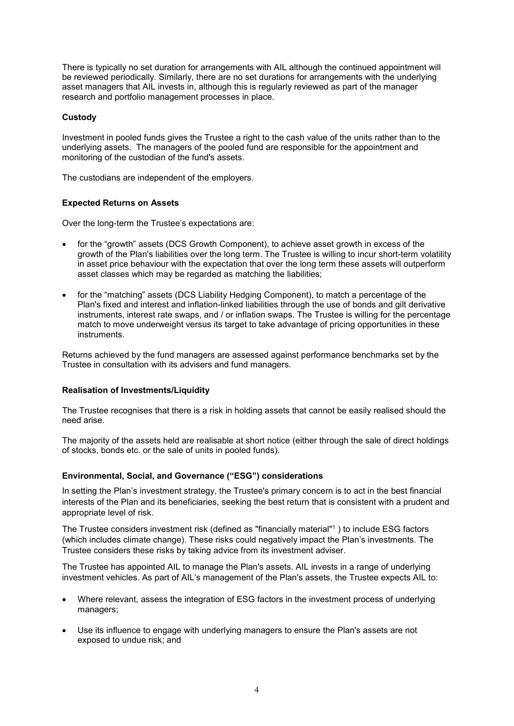There is typically no set duration for arrangements with AIL although the continued appointment will be reviewed periodically. Similarly, there are no set durations for arrangements with the underlying asset managers that AIL invests in, although this is regularly reviewed as part of the manager research and portfolio management processes in place.

## **Custody**

Investment in pooled funds gives the Trustee a right to the cash value of the units rather than to the underlying assets. The managers of the pooled fund are responsible for the appointment and monitoring of the custodian of the fund's assets.

The custodians are independent of the employers.

# **Expected Returns on Assets**

Over the long-term the Trustee's expectations are:

- for the "growth" assets (DCS Growth Component), to achieve asset growth in excess of the growth of the Plan's liabilities over the long term. The Trustee is willing to incur short-term volatility in asset price behaviour with the expectation that over the long term these assets will outperform asset classes which may be regarded as matching the liabilities;
- for the "matching" assets (DCS Liability Hedging Component), to match a percentage of the Plan's fixed and interest and inflation-linked liabilities through the use of bonds and gilt derivative instruments, interest rate swaps, and / or inflation swaps. The Trustee is willing for the percentage match to move underweight versus its target to take advantage of pricing opportunities in these instruments.

Returns achieved by the fund managers are assessed against performance benchmarks set by the Trustee in consultation with its advisers and fund managers.

#### **Realisation of Investments/Liquidity**

The Trustee recognises that there is a risk in holding assets that cannot be easily realised should the need arise.

The majority of the assets held are realisable at short notice (either through the sale of direct holdings of stocks, bonds etc. or the sale of units in pooled funds).

# **Environmental, Social, and Governance ("ESG") considerations**

In setting the Plan's investment strategy, the Trustee's primary concern is to act in the best financial interests of the Plan and its beneficiaries, seeking the best return that is consistent with a prudent and appropriate level of risk.

The Trustee considers investment risk (defined as "financially material"1 ) to include ESG factors (which includes climate change). These risks could negatively impact the Plan's investments. The Trustee considers these risks by taking advice from its investment adviser.

The Trustee has appointed AIL to manage the Plan's assets. AIL invests in a range of underlying investment vehicles. As part of AIL's management of the Plan's assets, the Trustee expects AIL to:

- Where relevant, assess the integration of ESG factors in the investment process of underlying managers;
- Use its influence to engage with underlying managers to ensure the Plan's assets are not exposed to undue risk; and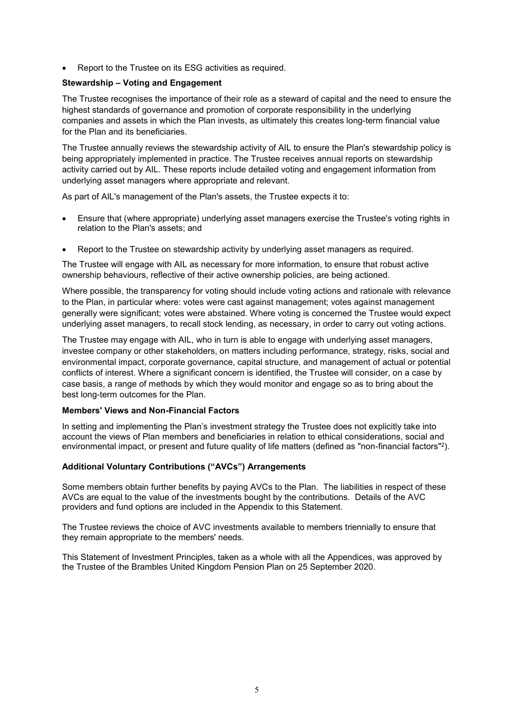Report to the Trustee on its ESG activities as required.

# **Stewardship – Voting and Engagement**

The Trustee recognises the importance of their role as a steward of capital and the need to ensure the highest standards of governance and promotion of corporate responsibility in the underlying companies and assets in which the Plan invests, as ultimately this creates long-term financial value for the Plan and its beneficiaries.

The Trustee annually reviews the stewardship activity of AIL to ensure the Plan's stewardship policy is being appropriately implemented in practice. The Trustee receives annual reports on stewardship activity carried out by AIL. These reports include detailed voting and engagement information from underlying asset managers where appropriate and relevant.

As part of AIL's management of the Plan's assets, the Trustee expects it to:

- Ensure that (where appropriate) underlying asset managers exercise the Trustee's voting rights in relation to the Plan's assets; and
- Report to the Trustee on stewardship activity by underlying asset managers as required.

The Trustee will engage with AIL as necessary for more information, to ensure that robust active ownership behaviours, reflective of their active ownership policies, are being actioned.

Where possible, the transparency for voting should include voting actions and rationale with relevance to the Plan, in particular where: votes were cast against management; votes against management generally were significant; votes were abstained. Where voting is concerned the Trustee would expect underlying asset managers, to recall stock lending, as necessary, in order to carry out voting actions.

The Trustee may engage with AIL, who in turn is able to engage with underlying asset managers, investee company or other stakeholders, on matters including performance, strategy, risks, social and environmental impact, corporate governance, capital structure, and management of actual or potential conflicts of interest. Where a significant concern is identified, the Trustee will consider, on a case by case basis, a range of methods by which they would monitor and engage so as to bring about the best long-term outcomes for the Plan.

#### **Members' Views and Non-Financial Factors**

In setting and implementing the Plan's investment strategy the Trustee does not explicitly take into account the views of Plan members and beneficiaries in relation to ethical considerations, social and environmental impact, or present and future quality of life matters (defined as "non-financial factors"<sup>2</sup> ).

# **Additional Voluntary Contributions ("AVCs") Arrangements**

Some members obtain further benefits by paying AVCs to the Plan. The liabilities in respect of these AVCs are equal to the value of the investments bought by the contributions. Details of the AVC providers and fund options are included in the Appendix to this Statement.

The Trustee reviews the choice of AVC investments available to members triennially to ensure that they remain appropriate to the members' needs.

This Statement of Investment Principles, taken as a whole with all the Appendices, was approved by the Trustee of the Brambles United Kingdom Pension Plan on 25 September 2020.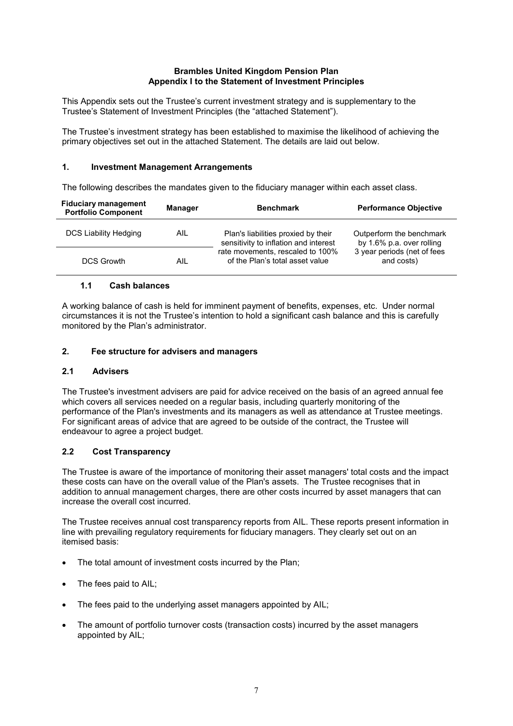### **Brambles United Kingdom Pension Plan Appendix I to the Statement of Investment Principles**

This Appendix sets out the Trustee's current investment strategy and is supplementary to the Trustee's Statement of Investment Principles (the "attached Statement").

The Trustee's investment strategy has been established to maximise the likelihood of achieving the primary objectives set out in the attached Statement. The details are laid out below.

#### **1. Investment Management Arrangements**

The following describes the mandates given to the fiduciary manager within each asset class.

| <b>Fiduciary management</b><br><b>Portfolio Component</b> | <b>Manager</b> | <b>Benchmark</b>                                                             | <b>Performance Objective</b>                                                                       |
|-----------------------------------------------------------|----------------|------------------------------------------------------------------------------|----------------------------------------------------------------------------------------------------|
| DCS Liability Hedging                                     | AIL            | Plan's liabilities proxied by their<br>sensitivity to inflation and interest | Outperform the benchmark<br>by 1.6% p.a. over rolling<br>3 year periods (net of fees<br>and costs) |
| <b>DCS Growth</b>                                         | AIL            | rate movements, rescaled to 100%<br>of the Plan's total asset value          |                                                                                                    |

## **1.1 Cash balances**

A working balance of cash is held for imminent payment of benefits, expenses, etc. Under normal circumstances it is not the Trustee's intention to hold a significant cash balance and this is carefully monitored by the Plan's administrator.

## **2. Fee structure for advisers and managers**

# **2.1 Advisers**

The Trustee's investment advisers are paid for advice received on the basis of an agreed annual fee which covers all services needed on a regular basis, including quarterly monitoring of the performance of the Plan's investments and its managers as well as attendance at Trustee meetings. For significant areas of advice that are agreed to be outside of the contract, the Trustee will endeavour to agree a project budget.

# **2.2 Cost Transparency**

The Trustee is aware of the importance of monitoring their asset managers' total costs and the impact these costs can have on the overall value of the Plan's assets. The Trustee recognises that in addition to annual management charges, there are other costs incurred by asset managers that can increase the overall cost incurred.

The Trustee receives annual cost transparency reports from AIL. These reports present information in line with prevailing regulatory requirements for fiduciary managers. They clearly set out on an itemised basis:

- The total amount of investment costs incurred by the Plan;
- The fees paid to AIL:
- The fees paid to the underlying asset managers appointed by AIL;
- The amount of portfolio turnover costs (transaction costs) incurred by the asset managers appointed by AIL;